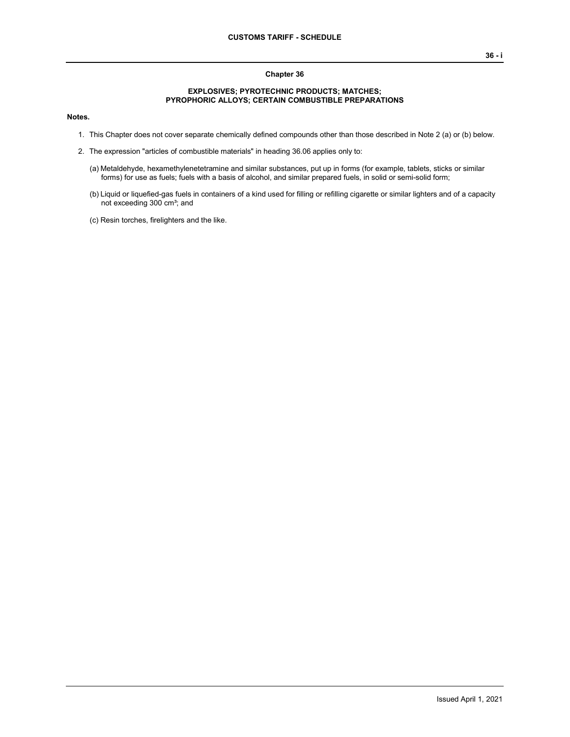## **Chapter 36**

## **EXPLOSIVES; PYROTECHNIC PRODUCTS; MATCHES; PYROPHORIC ALLOYS; CERTAIN COMBUSTIBLE PREPARATIONS**

## **Notes.**

- 1. This Chapter does not cover separate chemically defined compounds other than those described in Note 2 (a) or (b) below.
- 2. The expression "articles of combustible materials" in heading 36.06 applies only to:
	- (a) Metaldehyde, hexamethylenetetramine and similar substances, put up in forms (for example, tablets, sticks or similar forms) for use as fuels; fuels with a basis of alcohol, and similar prepared fuels, in solid or semi-solid form;
	- (b) Liquid or liquefied-gas fuels in containers of a kind used for filling or refilling cigarette or similar lighters and of a capacity not exceeding 300 cm<sup>3</sup>; and
	- (c) Resin torches, firelighters and the like.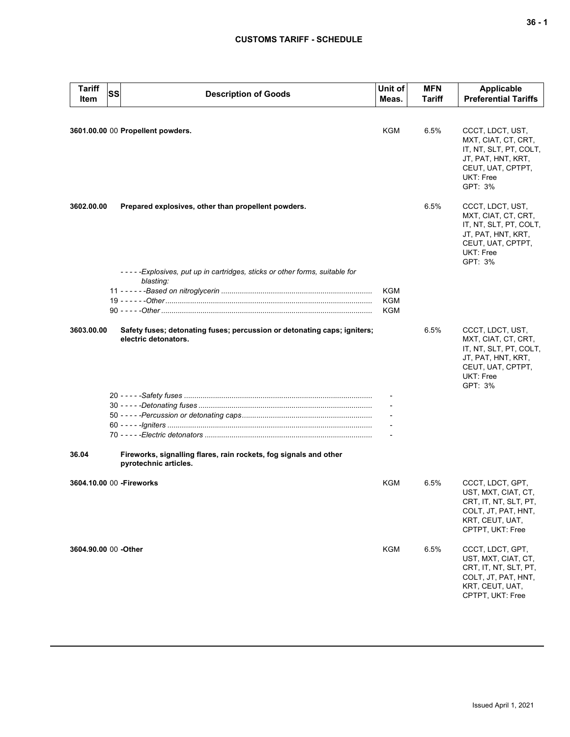## **CUSTOMS TARIFF - SCHEDULE**

| <b>Tariff</b><br>Item             | SS | <b>Description of Goods</b>                                                                      | Unit of<br>Meas.         | <b>MFN</b><br>Tariff | Applicable<br><b>Preferential Tariffs</b>                                                                                            |
|-----------------------------------|----|--------------------------------------------------------------------------------------------------|--------------------------|----------------------|--------------------------------------------------------------------------------------------------------------------------------------|
| 3601.00.00 00 Propellent powders. |    |                                                                                                  |                          | 6.5%                 | CCCT, LDCT, UST,<br>MXT, CIAT, CT, CRT,                                                                                              |
|                                   |    |                                                                                                  |                          |                      | IT, NT, SLT, PT, COLT,<br>JT, PAT, HNT, KRT,<br>CEUT, UAT, CPTPT,<br>UKT: Free<br>GPT: 3%                                            |
| 3602.00.00                        |    | Prepared explosives, other than propellent powders.                                              |                          | 6.5%                 | CCCT, LDCT, UST,<br>MXT, CIAT, CT, CRT,<br>IT, NT, SLT, PT, COLT,<br>JT, PAT, HNT, KRT,<br>CEUT, UAT, CPTPT,<br>UKT: Free<br>GPT: 3% |
|                                   |    | -----Explosives, put up in cartridges, sticks or other forms, suitable for<br>blasting:          |                          |                      |                                                                                                                                      |
|                                   |    |                                                                                                  | <b>KGM</b><br><b>KGM</b> |                      |                                                                                                                                      |
|                                   |    |                                                                                                  | KGM                      |                      |                                                                                                                                      |
| 3603.00.00                        |    | Safety fuses; detonating fuses; percussion or detonating caps; igniters;<br>electric detonators. |                          | 6.5%                 | CCCT, LDCT, UST,<br>MXT, CIAT, CT, CRT,<br>IT, NT, SLT, PT, COLT,<br>JT, PAT, HNT, KRT,<br>CEUT, UAT, CPTPT,<br>UKT: Free<br>GPT: 3% |
|                                   |    |                                                                                                  |                          |                      |                                                                                                                                      |
|                                   |    |                                                                                                  |                          |                      |                                                                                                                                      |
|                                   |    |                                                                                                  |                          |                      |                                                                                                                                      |
| 36.04                             |    | Fireworks, signalling flares, rain rockets, fog signals and other<br>pyrotechnic articles.       |                          |                      |                                                                                                                                      |
|                                   |    | 3604.10.00 00 - Fireworks                                                                        | KGM                      | 6.5%                 | CCCT, LDCT, GPT,<br>UST, MXT, CIAT, CT,<br>CRT, IT, NT, SLT, PT,<br>COLT, JT, PAT, HNT,<br>KRT, CEUT, UAT,<br>CPTPT, UKT: Free       |
| 3604.90.00 00 -Other              |    |                                                                                                  | <b>KGM</b>               | 6.5%                 | CCCT, LDCT, GPT,<br>UST, MXT, CIAT, CT,<br>CRT, IT, NT, SLT, PT,<br>COLT, JT, PAT, HNT,<br>KRT, CEUT, UAT,<br>CPTPT, UKT: Free       |